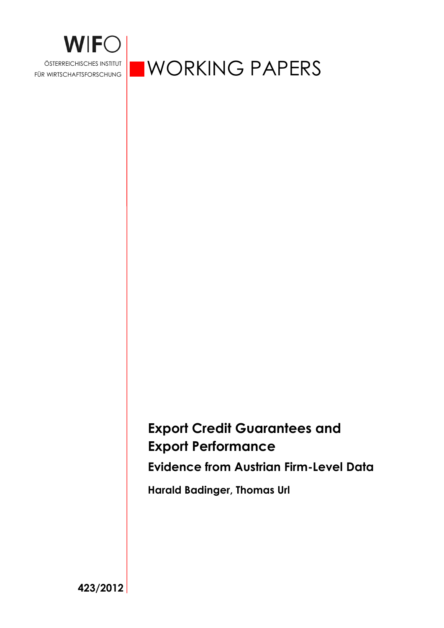

ÖSTERREICHISCHES INSTITUT WORKING PAPERS

# **Export Credit Guarantees and Export Performance**

**Evidence from Austrian Firm-Level Data** 

**Harald Badinger, Thomas Url** 

**423/2012**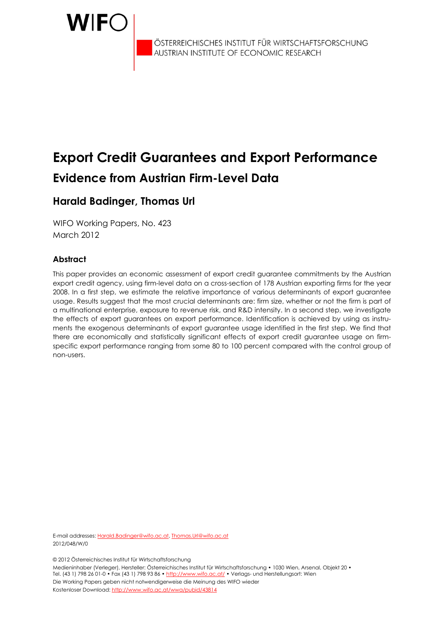

ÖSTERREICHISCHES INSTITUT FÜR WIRTSCHAFTSFORSCHUNG<br>AUSTRIAN INSTITUTE OF ECONOMIC RESEARCH

# **Export Credit Guarantees and Export Performance Evidence from Austrian Firm-Level Data**

# **Harald Badinger, Thomas Url**

WIFO Working Papers, No. 423 March 2012

## **Abstract**

This paper provides an economic assessment of export credit guarantee commitments by the Austrian export credit agency, using firm-level data on a cross-section of 178 Austrian exporting firms for the year 2008. In a first step, we estimate the relative importance of various determinants of export guarantee usage. Results suggest that the most crucial determinants are: firm size, whether or not the firm is part of a multinational enterprise, exposure to revenue risk, and R&D intensity. In a second step, we investigate the effects of export guarantees on export performance. Identification is achieved by using as instruments the exogenous determinants of export guarantee usage identified in the first step. We find that there are economically and statistically significant effects of export credit guarantee usage on firmspecific export performance ranging from some 80 to 100 percent compared with the control group of non-users.

E-mail addresses: Harald.Badinger@wifo.ac.at, Thomas.Url@wifo.ac.at 2012/048/W/0

© 2012 Österreichisches Institut für Wirtschaftsforschung

Medieninhaber (Verleger), Hersteller: Österreichisches Institut für Wirtschaftsforschung • 1030 Wien, Arsenal, Objekt 20 • Tel. (43 1) 798 26 01-0 • Fax (43 1) 798 93 86 • http://www.wifo.ac.at/ • Verlags- und Herstellungsort: Wien Die Working Papers geben nicht notwendigerweise die Meinung des WIFO wieder Kostenloser Download: http://www.wifo.ac.at/wwa/pubid/43814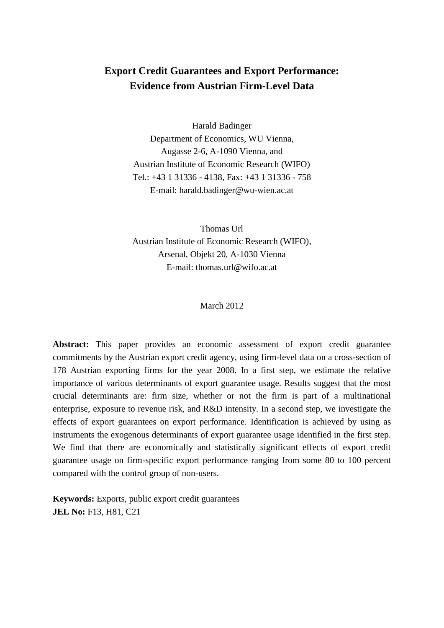# **Export Credit Guarantees and Export Performance: Evidence from Austrian Firm-Level Data**

Harald Badinger Department of Economics, WU Vienna, Augasse 2-6, A-1090 Vienna, and Austrian Institute of Economic Research (WIFO) Tel.: +43 1 31336 - 4138, Fax: +43 1 31336 - 758 E-mail: [harald.badinger@wu-wien.ac.at](mailto:harald.badinger@wu-wien.ac.at)

Thomas Url Austrian Institute of Economic Research (WIFO), Arsenal, Objekt 20, A-1030 Vienna E-mail: [thomas.url@wifo.ac.at](mailto:thomas.url@wifo.ac.at)

#### March 2012

**Abstract:** This paper provides an economic assessment of export credit guarantee commitments by the Austrian export credit agency, using firm-level data on a cross-section of 178 Austrian exporting firms for the year 2008. In a first step, we estimate the relative importance of various determinants of export guarantee usage. Results suggest that the most crucial determinants are: firm size, whether or not the firm is part of a multinational enterprise, exposure to revenue risk, and R&D intensity. In a second step, we investigate the effects of export guarantees on export performance. Identification is achieved by using as instruments the exogenous determinants of export guarantee usage identified in the first step. We find that there are economically and statistically significant effects of export credit guarantee usage on firm-specific export performance ranging from some 80 to 100 percent compared with the control group of non-users.

**Keywords:** Exports, public export credit guarantees **JEL No:** F13, H81, C21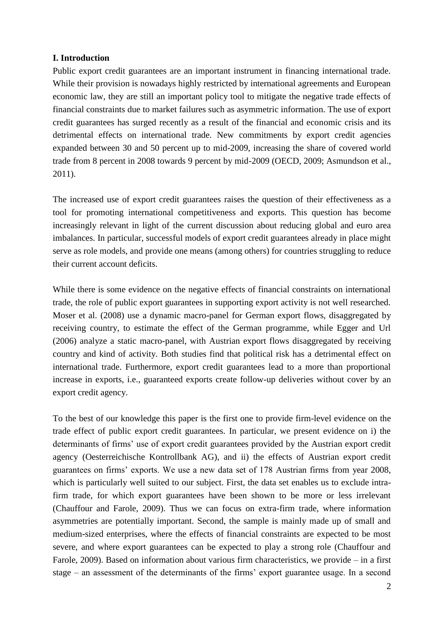## **I. Introduction**

Public export credit guarantees are an important instrument in financing international trade. While their provision is nowadays highly restricted by international agreements and European economic law, they are still an important policy tool to mitigate the negative trade effects of financial constraints due to market failures such as asymmetric information. The use of export credit guarantees has surged recently as a result of the financial and economic crisis and its detrimental effects on international trade. New commitments by export credit agencies expanded between 30 and 50 percent up to mid-2009, increasing the share of covered world trade from 8 percent in 2008 towards 9 percent by mid-2009 (OECD, 2009; Asmundson et al., 2011).

The increased use of export credit guarantees raises the question of their effectiveness as a tool for promoting international competitiveness and exports. This question has become increasingly relevant in light of the current discussion about reducing global and euro area imbalances. In particular, successful models of export credit guarantees already in place might serve as role models, and provide one means (among others) for countries struggling to reduce their current account deficits.

While there is some evidence on the negative effects of financial constraints on international trade, the role of public export guarantees in supporting export activity is not well researched. Moser et al. (2008) use a dynamic macro-panel for German export flows, disaggregated by receiving country, to estimate the effect of the German programme, while Egger and Url (2006) analyze a static macro-panel, with Austrian export flows disaggregated by receiving country and kind of activity. Both studies find that political risk has a detrimental effect on international trade. Furthermore, export credit guarantees lead to a more than proportional increase in exports, i.e., guaranteed exports create follow-up deliveries without cover by an export credit agency.

To the best of our knowledge this paper is the first one to provide firm-level evidence on the trade effect of public export credit guarantees. In particular, we present evidence on i) the determinants of firms' use of export credit guarantees provided by the Austrian export credit agency (Oesterreichische Kontrollbank AG), and ii) the effects of Austrian export credit guarantees on firms' exports. We use a new data set of 178 Austrian firms from year 2008, which is particularly well suited to our subject. First, the data set enables us to exclude intrafirm trade, for which export guarantees have been shown to be more or less irrelevant (Chauffour and Farole, 2009). Thus we can focus on extra-firm trade, where information asymmetries are potentially important. Second, the sample is mainly made up of small and medium-sized enterprises, where the effects of financial constraints are expected to be most severe, and where export guarantees can be expected to play a strong role (Chauffour and Farole, 2009). Based on information about various firm characteristics, we provide – in a first stage – an assessment of the determinants of the firms' export guarantee usage. In a second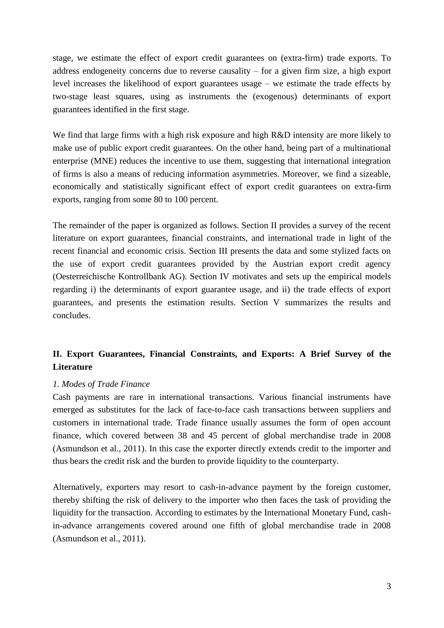stage, we estimate the effect of export credit guarantees on (extra-firm) trade exports. To address endogeneity concerns due to reverse causality – for a given firm size, a high export level increases the likelihood of export guarantees usage – we estimate the trade effects by two-stage least squares, using as instruments the (exogenous) determinants of export guarantees identified in the first stage.

We find that large firms with a high risk exposure and high R&D intensity are more likely to make use of public export credit guarantees. On the other hand, being part of a multinational enterprise (MNE) reduces the incentive to use them, suggesting that international integration of firms is also a means of reducing information asymmetries. Moreover, we find a sizeable, economically and statistically significant effect of export credit guarantees on extra-firm exports, ranging from some 80 to 100 percent.

The remainder of the paper is organized as follows. Section II provides a survey of the recent literature on export guarantees, financial constraints, and international trade in light of the recent financial and economic crisis. Section III presents the data and some stylized facts on the use of export credit guarantees provided by the Austrian export credit agency (Oesterreichische Kontrollbank AG). Section IV motivates and sets up the empirical models regarding i) the determinants of export guarantee usage, and ii) the trade effects of export guarantees, and presents the estimation results. Section V summarizes the results and concludes.

# **II. Export Guarantees, Financial Constraints, and Exports: A Brief Survey of the Literature**

## *1. Modes of Trade Finance*

Cash payments are rare in international transactions. Various financial instruments have emerged as substitutes for the lack of face-to-face cash transactions between suppliers and customers in international trade. Trade finance usually assumes the form of open account finance, which covered between 38 and 45 percent of global merchandise trade in 2008 (Asmundson et al., 2011). In this case the exporter directly extends credit to the importer and thus bears the credit risk and the burden to provide liquidity to the counterparty.

Alternatively, exporters may resort to cash-in-advance payment by the foreign customer, thereby shifting the risk of delivery to the importer who then faces the task of providing the liquidity for the transaction. According to estimates by the International Monetary Fund, cashin-advance arrangements covered around one fifth of global merchandise trade in 2008 (Asmundson et al., 2011).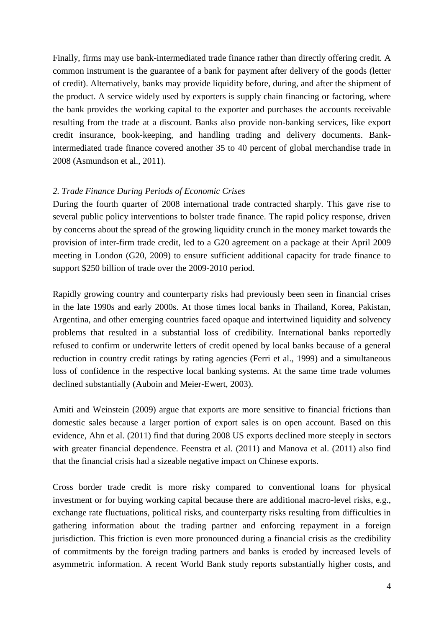Finally, firms may use bank-intermediated trade finance rather than directly offering credit. A common instrument is the guarantee of a bank for payment after delivery of the goods (letter of credit). Alternatively, banks may provide liquidity before, during, and after the shipment of the product. A service widely used by exporters is supply chain financing or factoring, where the bank provides the working capital to the exporter and purchases the accounts receivable resulting from the trade at a discount. Banks also provide non-banking services, like export credit insurance, book-keeping, and handling trading and delivery documents. Bankintermediated trade finance covered another 35 to 40 percent of global merchandise trade in 2008 (Asmundson et al., 2011).

### *2. Trade Finance During Periods of Economic Crises*

During the fourth quarter of 2008 international trade contracted sharply. This gave rise to several public policy interventions to bolster trade finance. The rapid policy response, driven by concerns about the spread of the growing liquidity crunch in the money market towards the provision of inter-firm trade credit, led to a G20 agreement on a package at their April 2009 meeting in London (G20, 2009) to ensure sufficient additional capacity for trade finance to support \$250 billion of trade over the 2009-2010 period.

Rapidly growing country and counterparty risks had previously been seen in financial crises in the late 1990s and early 2000s. At those times local banks in Thailand, Korea, Pakistan, Argentina, and other emerging countries faced opaque and intertwined liquidity and solvency problems that resulted in a substantial loss of credibility. International banks reportedly refused to confirm or underwrite letters of credit opened by local banks because of a general reduction in country credit ratings by rating agencies (Ferri et al., 1999) and a simultaneous loss of confidence in the respective local banking systems. At the same time trade volumes declined substantially (Auboin and Meier-Ewert, 2003).

Amiti and Weinstein (2009) argue that exports are more sensitive to financial frictions than domestic sales because a larger portion of export sales is on open account. Based on this evidence, Ahn et al. (2011) find that during 2008 US exports declined more steeply in sectors with greater financial dependence. Feenstra et al. (2011) and Manova et al. (2011) also find that the financial crisis had a sizeable negative impact on Chinese exports.

Cross border trade credit is more risky compared to conventional loans for physical investment or for buying working capital because there are additional macro-level risks, e.g., exchange rate fluctuations, political risks, and counterparty risks resulting from difficulties in gathering information about the trading partner and enforcing repayment in a foreign jurisdiction. This friction is even more pronounced during a financial crisis as the credibility of commitments by the foreign trading partners and banks is eroded by increased levels of asymmetric information. A recent World Bank study reports substantially higher costs, and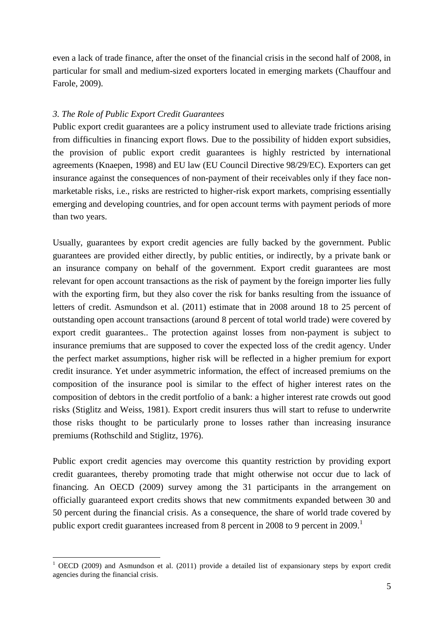even a lack of trade finance, after the onset of the financial crisis in the second half of 2008, in particular for small and medium-sized exporters located in emerging markets (Chauffour and Farole, 2009).

## *3. The Role of Public Export Credit Guarantees*

Public export credit guarantees are a policy instrument used to alleviate trade frictions arising from difficulties in financing export flows. Due to the possibility of hidden export subsidies, the provision of public export credit guarantees is highly restricted by international agreements (Knaepen, 1998) and EU law (EU Council Directive 98/29/EC). Exporters can get insurance against the consequences of non-payment of their receivables only if they face nonmarketable risks, i.e., risks are restricted to higher-risk export markets, comprising essentially emerging and developing countries, and for open account terms with payment periods of more than two years.

Usually, guarantees by export credit agencies are fully backed by the government. Public guarantees are provided either directly, by public entities, or indirectly, by a private bank or an insurance company on behalf of the government. Export credit guarantees are most relevant for open account transactions as the risk of payment by the foreign importer lies fully with the exporting firm, but they also cover the risk for banks resulting from the issuance of letters of credit. Asmundson et al. (2011) estimate that in 2008 around 18 to 25 percent of outstanding open account transactions (around 8 percent of total world trade) were covered by export credit guarantees.. The protection against losses from non-payment is subject to insurance premiums that are supposed to cover the expected loss of the credit agency. Under the perfect market assumptions, higher risk will be reflected in a higher premium for export credit insurance. Yet under asymmetric information, the effect of increased premiums on the composition of the insurance pool is similar to the effect of higher interest rates on the composition of debtors in the credit portfolio of a bank: a higher interest rate crowds out good risks (Stiglitz and Weiss, 1981). Export credit insurers thus will start to refuse to underwrite those risks thought to be particularly prone to losses rather than increasing insurance premiums (Rothschild and Stiglitz, 1976).

Public export credit agencies may overcome this quantity restriction by providing export credit guarantees, thereby promoting trade that might otherwise not occur due to lack of financing. An OECD (2009) survey among the 31 participants in the arrangement on officially guaranteed export credits shows that new commitments expanded between 30 and 50 percent during the financial crisis. As a consequence, the share of world trade covered by public export credit guarantees increased from 8 percent in 2008 to 9 percent in 2009.<sup>1</sup>

<u>.</u>

<sup>&</sup>lt;sup>1</sup> OECD (2009) and Asmundson et al. (2011) provide a detailed list of expansionary steps by export credit agencies during the financial crisis.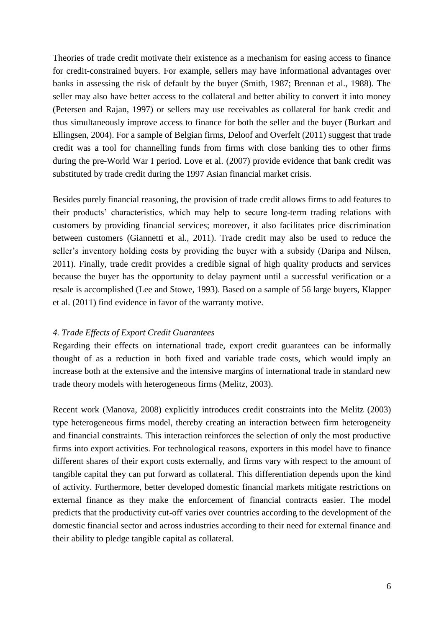Theories of trade credit motivate their existence as a mechanism for easing access to finance for credit-constrained buyers. For example, sellers may have informational advantages over banks in assessing the risk of default by the buyer (Smith, 1987; Brennan et al., 1988). The seller may also have better access to the collateral and better ability to convert it into money (Petersen and Rajan, 1997) or sellers may use receivables as collateral for bank credit and thus simultaneously improve access to finance for both the seller and the buyer (Burkart and Ellingsen, 2004). For a sample of Belgian firms, Deloof and Overfelt (2011) suggest that trade credit was a tool for channelling funds from firms with close banking ties to other firms during the pre-World War I period. Love et al. (2007) provide evidence that bank credit was substituted by trade credit during the 1997 Asian financial market crisis.

Besides purely financial reasoning, the provision of trade credit allows firms to add features to their products' characteristics, which may help to secure long-term trading relations with customers by providing financial services; moreover, it also facilitates price discrimination between customers (Giannetti et al., 2011). Trade credit may also be used to reduce the seller's inventory holding costs by providing the buyer with a subsidy (Daripa and Nilsen, 2011). Finally, trade credit provides a credible signal of high quality products and services because the buyer has the opportunity to delay payment until a successful verification or a resale is accomplished (Lee and Stowe, 1993). Based on a sample of 56 large buyers, Klapper et al. (2011) find evidence in favor of the warranty motive.

### *4. Trade Effects of Export Credit Guarantees*

Regarding their effects on international trade, export credit guarantees can be informally thought of as a reduction in both fixed and variable trade costs, which would imply an increase both at the extensive and the intensive margins of international trade in standard new trade theory models with heterogeneous firms (Melitz, 2003).

Recent work (Manova, 2008) explicitly introduces credit constraints into the Melitz (2003) type heterogeneous firms model, thereby creating an interaction between firm heterogeneity and financial constraints. This interaction reinforces the selection of only the most productive firms into export activities. For technological reasons, exporters in this model have to finance different shares of their export costs externally, and firms vary with respect to the amount of tangible capital they can put forward as collateral. This differentiation depends upon the kind of activity. Furthermore, better developed domestic financial markets mitigate restrictions on external finance as they make the enforcement of financial contracts easier. The model predicts that the productivity cut-off varies over countries according to the development of the domestic financial sector and across industries according to their need for external finance and their ability to pledge tangible capital as collateral.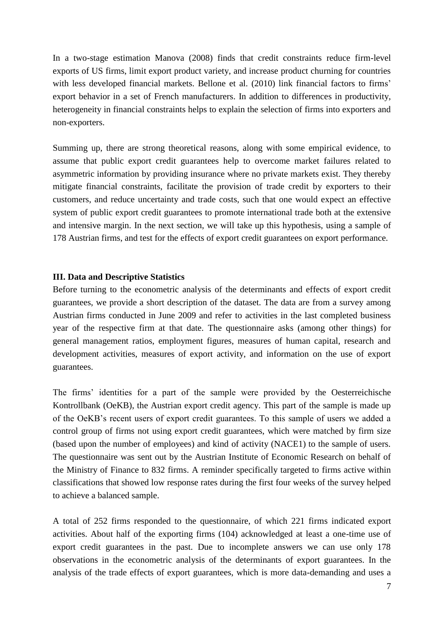In a two-stage estimation Manova (2008) finds that credit constraints reduce firm-level exports of US firms, limit export product variety, and increase product churning for countries with less developed financial markets. Bellone et al. (2010) link financial factors to firms' export behavior in a set of French manufacturers. In addition to differences in productivity, heterogeneity in financial constraints helps to explain the selection of firms into exporters and non-exporters.

Summing up, there are strong theoretical reasons, along with some empirical evidence, to assume that public export credit guarantees help to overcome market failures related to asymmetric information by providing insurance where no private markets exist. They thereby mitigate financial constraints, facilitate the provision of trade credit by exporters to their customers, and reduce uncertainty and trade costs, such that one would expect an effective system of public export credit guarantees to promote international trade both at the extensive and intensive margin. In the next section, we will take up this hypothesis, using a sample of 178 Austrian firms, and test for the effects of export credit guarantees on export performance.

### **III. Data and Descriptive Statistics**

Before turning to the econometric analysis of the determinants and effects of export credit guarantees, we provide a short description of the dataset. The data are from a survey among Austrian firms conducted in June 2009 and refer to activities in the last completed business year of the respective firm at that date. The questionnaire asks (among other things) for general management ratios, employment figures, measures of human capital, research and development activities, measures of export activity, and information on the use of export guarantees.

The firms' identities for a part of the sample were provided by the Oesterreichische Kontrollbank (OeKB), the Austrian export credit agency. This part of the sample is made up of the OeKB's recent users of export credit guarantees. To this sample of users we added a control group of firms not using export credit guarantees, which were matched by firm size (based upon the number of employees) and kind of activity (NACE1) to the sample of users. The questionnaire was sent out by the Austrian Institute of Economic Research on behalf of the Ministry of Finance to 832 firms. A reminder specifically targeted to firms active within classifications that showed low response rates during the first four weeks of the survey helped to achieve a balanced sample.

A total of 252 firms responded to the questionnaire, of which 221 firms indicated export activities. About half of the exporting firms (104) acknowledged at least a one-time use of export credit guarantees in the past. Due to incomplete answers we can use only 178 observations in the econometric analysis of the determinants of export guarantees. In the analysis of the trade effects of export guarantees, which is more data-demanding and uses a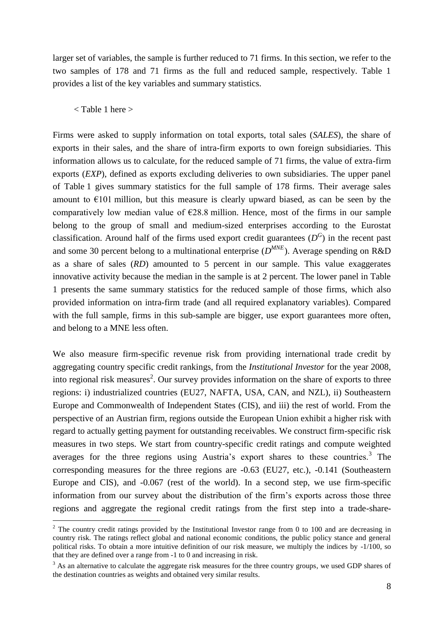larger set of variables, the sample is further reduced to 71 firms. In this section, we refer to the two samples of 178 and 71 firms as the full and reduced sample, respectively. Table 1 provides a list of the key variables and summary statistics.

#### < Table 1 here >

1

Firms were asked to supply information on total exports, total sales (*SALES*), the share of exports in their sales, and the share of intra-firm exports to own foreign subsidiaries. This information allows us to calculate, for the reduced sample of 71 firms, the value of extra-firm exports (*EXP*), defined as exports excluding deliveries to own subsidiaries. The upper panel of Table 1 gives summary statistics for the full sample of 178 firms. Their average sales amount to  $E[01]$  million, but this measure is clearly upward biased, as can be seen by the comparatively low median value of  $\epsilon$ 28.8 million. Hence, most of the firms in our sample belong to the group of small and medium-sized enterprises according to the Eurostat classification. Around half of the firms used export credit guarantees  $(D^G)$  in the recent past and some 30 percent belong to a multinational enterprise  $(D^{MNE})$ . Average spending on R&D as a share of sales (*RD*) amounted to 5 percent in our sample. This value exaggerates innovative activity because the median in the sample is at 2 percent. The lower panel in Table 1 presents the same summary statistics for the reduced sample of those firms, which also provided information on intra-firm trade (and all required explanatory variables). Compared with the full sample, firms in this sub-sample are bigger, use export guarantees more often, and belong to a MNE less often.

We also measure firm-specific revenue risk from providing international trade credit by aggregating country specific credit rankings, from the *Institutional Investor* for the year 2008, into regional risk measures<sup>2</sup>. Our survey provides information on the share of exports to three regions: i) industrialized countries (EU27, NAFTA, USA, CAN, and NZL), ii) Southeastern Europe and Commonwealth of Independent States (CIS), and iii) the rest of world. From the perspective of an Austrian firm, regions outside the European Union exhibit a higher risk with regard to actually getting payment for outstanding receivables. We construct firm-specific risk measures in two steps. We start from country-specific credit ratings and compute weighted averages for the three regions using Austria's export shares to these countries.<sup>3</sup> The corresponding measures for the three regions are -0.63 (EU27, etc.), -0.141 (Southeastern Europe and CIS), and -0.067 (rest of the world). In a second step, we use firm-specific information from our survey about the distribution of the firm's exports across those three regions and aggregate the regional credit ratings from the first step into a trade-share-

<sup>&</sup>lt;sup>2</sup> The country credit ratings provided by the Institutional Investor range from 0 to 100 and are decreasing in country risk. The ratings reflect global and national economic conditions, the public policy stance and general political risks. To obtain a more intuitive definition of our risk measure, we multiply the indices by -1/100, so that they are defined over a range from -1 to 0 and increasing in risk.

 $3$  As an alternative to calculate the aggregate risk measures for the three country groups, we used GDP shares of the destination countries as weights and obtained very similar results.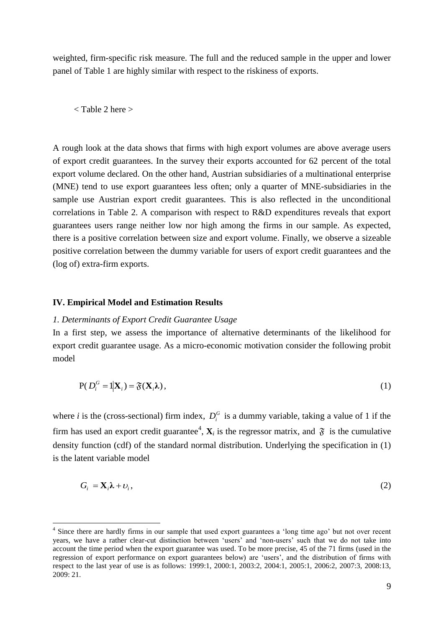weighted, firm-specific risk measure. The full and the reduced sample in the upper and lower panel of Table 1 are highly similar with respect to the riskiness of exports.

< Table 2 here >

A rough look at the data shows that firms with high export volumes are above average users of export credit guarantees. In the survey their exports accounted for 62 percent of the total export volume declared. On the other hand, Austrian subsidiaries of a multinational enterprise (MNE) tend to use export guarantees less often; only a quarter of MNE-subsidiaries in the sample use Austrian export credit guarantees. This is also reflected in the unconditional correlations in Table 2. A comparison with respect to R&D expenditures reveals that export guarantees users range neither low nor high among the firms in our sample. As expected, there is a positive correlation between size and export volume. Finally, we observe a sizeable positive correlation between the dummy variable for users of export credit guarantees and the (log of) extra-firm exports.

#### **IV. Empirical Model and Estimation Results**

1

#### *1. Determinants of Export Credit Guarantee Usage*

In a first step, we assess the importance of alternative determinants of the likelihood for export credit guarantee usage. As a micro-economic motivation consider the following probit model

$$
P(D_i^G = 1 | \mathbf{X}_i) = \mathfrak{F}(\mathbf{X}_i \lambda),
$$
\n(1)

where *i* is the (cross-sectional) firm index,  $D_i^G$  is a dummy variable, taking a value of 1 if the firm has used an export credit guarantee<sup>4</sup>,  $X_i$  is the regressor matrix, and  $\tilde{\mathfrak{F}}$  is the cumulative density function (cdf) of the standard normal distribution. Underlying the specification in (1) is the latent variable model

$$
G_i = \mathbf{X}_i \lambda + \nu_i, \tag{2}
$$

<sup>&</sup>lt;sup>4</sup> Since there are hardly firms in our sample that used export guarantees a 'long time ago' but not over recent years, we have a rather clear-cut distinction between 'users' and 'non-users' such that we do not take into account the time period when the export guarantee was used. To be more precise, 45 of the 71 firms (used in the regression of export performance on export guarantees below) are 'users', and the distribution of firms with respect to the last year of use is as follows: 1999:1, 2000:1, 2003:2, 2004:1, 2005:1, 2006:2, 2007:3, 2008:13, 2009: 21.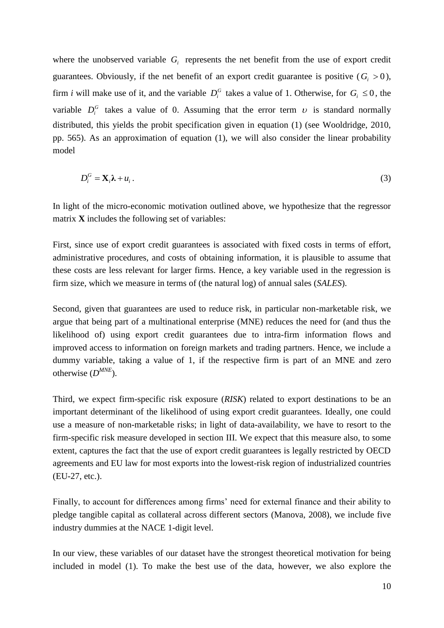where the unobserved variable  $G_i$  represents the net benefit from the use of export credit guarantees. Obviously, if the net benefit of an export credit guarantee is positive  $(G<sub>i</sub> > 0)$ , firm *i* will make use of it, and the variable  $D_i^G$  takes a value of 1. Otherwise, for  $G_i \leq 0$ , the variable  $D_i^G$  takes a value of 0. Assuming that the error term  $\nu$  is standard normally distributed, this yields the probit specification given in equation (1) (see Wooldridge, 2010, pp. 565). As an approximation of equation (1), we will also consider the linear probability model

$$
D_i^G = \mathbf{X}_i \lambda + u_i. \tag{3}
$$

In light of the micro-economic motivation outlined above, we hypothesize that the regressor matrix **X** includes the following set of variables:

First, since use of export credit guarantees is associated with fixed costs in terms of effort, administrative procedures, and costs of obtaining information, it is plausible to assume that these costs are less relevant for larger firms. Hence, a key variable used in the regression is firm size, which we measure in terms of (the natural log) of annual sales (*SALES*).

Second, given that guarantees are used to reduce risk, in particular non-marketable risk, we argue that being part of a multinational enterprise (MNE) reduces the need for (and thus the likelihood of) using export credit guarantees due to intra-firm information flows and improved access to information on foreign markets and trading partners. Hence, we include a dummy variable, taking a value of 1, if the respective firm is part of an MNE and zero otherwise (*D MNE*).

Third, we expect firm-specific risk exposure (*RISK*) related to export destinations to be an important determinant of the likelihood of using export credit guarantees. Ideally, one could use a measure of non-marketable risks; in light of data-availability, we have to resort to the firm-specific risk measure developed in section III. We expect that this measure also, to some extent, captures the fact that the use of export credit guarantees is legally restricted by OECD agreements and EU law for most exports into the lowest-risk region of industrialized countries (EU-27, etc.).

Finally, to account for differences among firms' need for external finance and their ability to pledge tangible capital as collateral across different sectors (Manova, 2008), we include five industry dummies at the NACE 1-digit level.

In our view, these variables of our dataset have the strongest theoretical motivation for being included in model (1). To make the best use of the data, however, we also explore the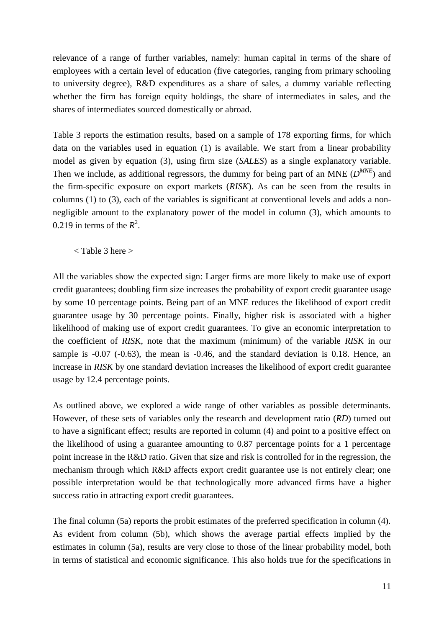relevance of a range of further variables, namely: human capital in terms of the share of employees with a certain level of education (five categories, ranging from primary schooling to university degree), R&D expenditures as a share of sales, a dummy variable reflecting whether the firm has foreign equity holdings, the share of intermediates in sales, and the shares of intermediates sourced domestically or abroad.

Table 3 reports the estimation results, based on a sample of 178 exporting firms, for which data on the variables used in equation (1) is available. We start from a linear probability model as given by equation (3), using firm size (*SALES*) as a single explanatory variable. Then we include, as additional regressors, the dummy for being part of an MNE ( $D^{MNE}$ ) and the firm-specific exposure on export markets (*RISK*). As can be seen from the results in columns (1) to (3), each of the variables is significant at conventional levels and adds a nonnegligible amount to the explanatory power of the model in column (3), which amounts to 0.219 in terms of the  $R^2$ .

< Table 3 here >

All the variables show the expected sign: Larger firms are more likely to make use of export credit guarantees; doubling firm size increases the probability of export credit guarantee usage by some 10 percentage points. Being part of an MNE reduces the likelihood of export credit guarantee usage by 30 percentage points. Finally, higher risk is associated with a higher likelihood of making use of export credit guarantees. To give an economic interpretation to the coefficient of *RISK*, note that the maximum (minimum) of the variable *RISK* in our sample is -0.07 (-0.63), the mean is -0.46, and the standard deviation is 0.18. Hence, an increase in *RISK* by one standard deviation increases the likelihood of export credit guarantee usage by 12.4 percentage points.

As outlined above, we explored a wide range of other variables as possible determinants. However, of these sets of variables only the research and development ratio (*RD*) turned out to have a significant effect; results are reported in column (4) and point to a positive effect on the likelihood of using a guarantee amounting to 0.87 percentage points for a 1 percentage point increase in the R&D ratio. Given that size and risk is controlled for in the regression, the mechanism through which R&D affects export credit guarantee use is not entirely clear; one possible interpretation would be that technologically more advanced firms have a higher success ratio in attracting export credit guarantees.

The final column (5a) reports the probit estimates of the preferred specification in column (4). As evident from column (5b), which shows the average partial effects implied by the estimates in column (5a), results are very close to those of the linear probability model, both in terms of statistical and economic significance. This also holds true for the specifications in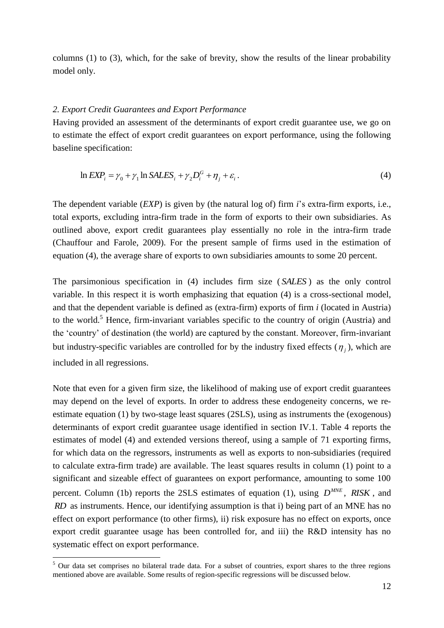columns (1) to (3), which, for the sake of brevity, show the results of the linear probability model only.

#### *2. Export Credit Guarantees and Export Performance*

Having provided an assessment of the determinants of export credit guarantee use, we go on to estimate the effect of export credit guarantees on export performance, using the following baseline specification:

$$
\ln EXP_i = \gamma_0 + \gamma_1 \ln SALES_i + \gamma_2 D_i^G + \eta_j + \varepsilon_i. \tag{4}
$$

The dependent variable (*EXP*) is given by (the natural log of) firm *i*'s extra-firm exports, i.e., total exports, excluding intra-firm trade in the form of exports to their own subsidiaries. As outlined above, export credit guarantees play essentially no role in the intra-firm trade (Chauffour and Farole, 2009). For the present sample of firms used in the estimation of equation (4), the average share of exports to own subsidiaries amounts to some 20 percent.

The parsimonious specification in (4) includes firm size ( *SALES* ) as the only control variable. In this respect it is worth emphasizing that equation (4) is a cross-sectional model, and that the dependent variable is defined as (extra-firm) exports of firm *i* (located in Austria) to the world.<sup>5</sup> Hence, firm-invariant variables specific to the country of origin (Austria) and the 'country' of destination (the world) are captured by the constant. Moreover, firm-invariant but industry-specific variables are controlled for by the industry fixed effects  $(\eta_j)$ , which are included in all regressions.

Note that even for a given firm size, the likelihood of making use of export credit guarantees may depend on the level of exports. In order to address these endogeneity concerns, we reestimate equation (1) by two-stage least squares (2SLS), using as instruments the (exogenous) determinants of export credit guarantee usage identified in section IV.1. Table 4 reports the estimates of model (4) and extended versions thereof, using a sample of 71 exporting firms, for which data on the regressors, instruments as well as exports to non-subsidiaries (required to calculate extra-firm trade) are available. The least squares results in column (1) point to a significant and sizeable effect of guarantees on export performance, amounting to some 100 percent. Column (1b) reports the 2SLS estimates of equation (1), using  $D^{MNE}$ , *RISK*, and *RD* as instruments. Hence, our identifying assumption is that i) being part of an MNE has no effect on export performance (to other firms), ii) risk exposure has no effect on exports, once export credit guarantee usage has been controlled for, and iii) the R&D intensity has no systematic effect on export performance.

<u>.</u>

<sup>&</sup>lt;sup>5</sup> Our data set comprises no bilateral trade data. For a subset of countries, export shares to the three regions mentioned above are available. Some results of region-specific regressions will be discussed below.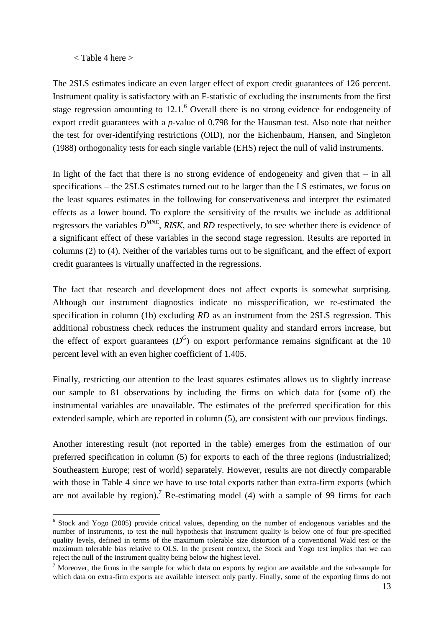### $<$  Table 4 here  $>$

1

The 2SLS estimates indicate an even larger effect of export credit guarantees of 126 percent. Instrument quality is satisfactory with an F-statistic of excluding the instruments from the first stage regression amounting to  $12.1<sup>6</sup>$  Overall there is no strong evidence for endogeneity of export credit guarantees with a *p*-value of 0.798 for the Hausman test. Also note that neither the test for over-identifying restrictions (OID), nor the Eichenbaum, Hansen, and Singleton (1988) orthogonality tests for each single variable (EHS) reject the null of valid instruments.

In light of the fact that there is no strong evidence of endogeneity and given that  $-$  in all specifications – the 2SLS estimates turned out to be larger than the LS estimates, we focus on the least squares estimates in the following for conservativeness and interpret the estimated effects as a lower bound. To explore the sensitivity of the results we include as additional regressors the variables *D MNE* , *RISK*, and *RD* respectively, to see whether there is evidence of a significant effect of these variables in the second stage regression. Results are reported in columns (2) to (4). Neither of the variables turns out to be significant, and the effect of export credit guarantees is virtually unaffected in the regressions.

The fact that research and development does not affect exports is somewhat surprising. Although our instrument diagnostics indicate no misspecification, we re-estimated the specification in column (1b) excluding *RD* as an instrument from the 2SLS regression. This additional robustness check reduces the instrument quality and standard errors increase, but the effect of export guarantees  $(D^G)$  on export performance remains significant at the 10 percent level with an even higher coefficient of 1.405.

Finally, restricting our attention to the least squares estimates allows us to slightly increase our sample to 81 observations by including the firms on which data for (some of) the instrumental variables are unavailable. The estimates of the preferred specification for this extended sample, which are reported in column (5), are consistent with our previous findings.

Another interesting result (not reported in the table) emerges from the estimation of our preferred specification in column (5) for exports to each of the three regions (industrialized; Southeastern Europe; rest of world) separately. However, results are not directly comparable with those in Table 4 since we have to use total exports rather than extra-firm exports (which are not available by region).<sup>7</sup> Re-estimating model (4) with a sample of 99 firms for each

<sup>&</sup>lt;sup>6</sup> Stock and Yogo (2005) provide critical values, depending on the number of endogenous variables and the number of instruments, to test the null hypothesis that instrument quality is below one of four pre-specified quality levels, defined in terms of the maximum tolerable size distortion of a conventional Wald test or the maximum tolerable bias relative to OLS. In the present context, the Stock and Yogo test implies that we can reject the null of the instrument quality being below the highest level.

 $<sup>7</sup>$  Moreover, the firms in the sample for which data on exports by region are available and the sub-sample for</sup> which data on extra-firm exports are available intersect only partly. Finally, some of the exporting firms do not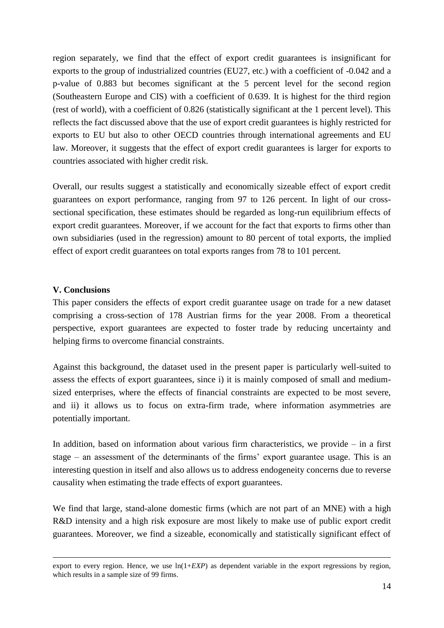region separately, we find that the effect of export credit guarantees is insignificant for exports to the group of industrialized countries (EU27, etc.) with a coefficient of -0.042 and a p-value of 0.883 but becomes significant at the 5 percent level for the second region (Southeastern Europe and CIS) with a coefficient of 0.639. It is highest for the third region (rest of world), with a coefficient of 0.826 (statistically significant at the 1 percent level). This reflects the fact discussed above that the use of export credit guarantees is highly restricted for exports to EU but also to other OECD countries through international agreements and EU law. Moreover, it suggests that the effect of export credit guarantees is larger for exports to countries associated with higher credit risk.

Overall, our results suggest a statistically and economically sizeable effect of export credit guarantees on export performance, ranging from 97 to 126 percent. In light of our crosssectional specification, these estimates should be regarded as long-run equilibrium effects of export credit guarantees. Moreover, if we account for the fact that exports to firms other than own subsidiaries (used in the regression) amount to 80 percent of total exports, the implied effect of export credit guarantees on total exports ranges from 78 to 101 percent.

### **V. Conclusions**

 $\overline{a}$ 

This paper considers the effects of export credit guarantee usage on trade for a new dataset comprising a cross-section of 178 Austrian firms for the year 2008. From a theoretical perspective, export guarantees are expected to foster trade by reducing uncertainty and helping firms to overcome financial constraints.

Against this background, the dataset used in the present paper is particularly well-suited to assess the effects of export guarantees, since i) it is mainly composed of small and mediumsized enterprises, where the effects of financial constraints are expected to be most severe, and ii) it allows us to focus on extra-firm trade, where information asymmetries are potentially important.

In addition, based on information about various firm characteristics, we provide  $-$  in a first stage – an assessment of the determinants of the firms' export guarantee usage. This is an interesting question in itself and also allows us to address endogeneity concerns due to reverse causality when estimating the trade effects of export guarantees.

We find that large, stand-alone domestic firms (which are not part of an MNE) with a high R&D intensity and a high risk exposure are most likely to make use of public export credit guarantees. Moreover, we find a sizeable, economically and statistically significant effect of

export to every region. Hence, we use ln(1+*EXP*) as dependent variable in the export regressions by region, which results in a sample size of 99 firms.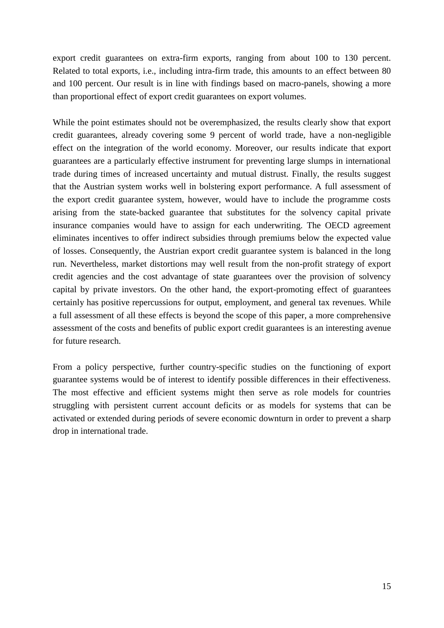export credit guarantees on extra-firm exports, ranging from about 100 to 130 percent. Related to total exports, i.e., including intra-firm trade, this amounts to an effect between 80 and 100 percent. Our result is in line with findings based on macro-panels, showing a more than proportional effect of export credit guarantees on export volumes.

While the point estimates should not be overemphasized, the results clearly show that export credit guarantees, already covering some 9 percent of world trade, have a non-negligible effect on the integration of the world economy. Moreover, our results indicate that export guarantees are a particularly effective instrument for preventing large slumps in international trade during times of increased uncertainty and mutual distrust. Finally, the results suggest that the Austrian system works well in bolstering export performance. A full assessment of the export credit guarantee system, however, would have to include the programme costs arising from the state-backed guarantee that substitutes for the solvency capital private insurance companies would have to assign for each underwriting. The OECD agreement eliminates incentives to offer indirect subsidies through premiums below the expected value of losses. Consequently, the Austrian export credit guarantee system is balanced in the long run. Nevertheless, market distortions may well result from the non-profit strategy of export credit agencies and the cost advantage of state guarantees over the provision of solvency capital by private investors. On the other hand, the export-promoting effect of guarantees certainly has positive repercussions for output, employment, and general tax revenues. While a full assessment of all these effects is beyond the scope of this paper, a more comprehensive assessment of the costs and benefits of public export credit guarantees is an interesting avenue for future research.

From a policy perspective, further country-specific studies on the functioning of export guarantee systems would be of interest to identify possible differences in their effectiveness. The most effective and efficient systems might then serve as role models for countries struggling with persistent current account deficits or as models for systems that can be activated or extended during periods of severe economic downturn in order to prevent a sharp drop in international trade.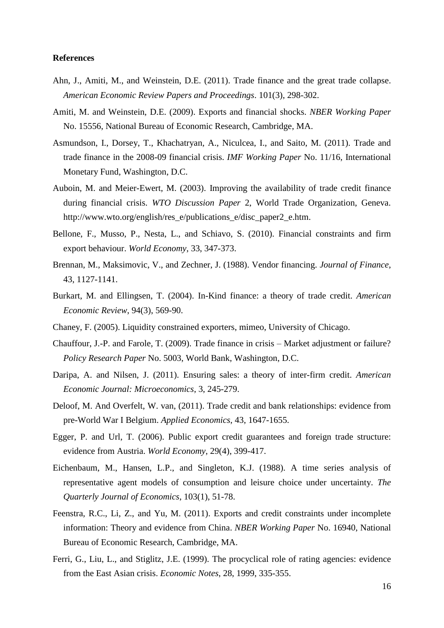#### **References**

- Ahn, J., Amiti, M., and Weinstein, D.E. (2011). Trade finance and the great trade collapse. *American Economic Review Papers and Proceedings*. 101(3), 298-302.
- Amiti, M. and Weinstein, D.E. (2009). Exports and financial shocks. *NBER Working Paper* No. 15556, National Bureau of Economic Research, Cambridge, MA.
- Asmundson, I., Dorsey, T., Khachatryan, A., Niculcea, I., and Saito, M. (2011). Trade and trade finance in the 2008-09 financial crisis. *IMF Working Paper* No. 11/16, International Monetary Fund, Washington, D.C.
- Auboin, M. and Meier-Ewert, M. (2003). Improving the availability of trade credit finance during financial crisis. *WTO Discussion Paper* 2, World Trade Organization, Geneva. [http://www.wto.org/english/res\\_e/publications\\_e/disc\\_paper2\\_e.htm.](http://www.wto.org/english/res_e/publications_e/disc_paper2_e.htm)
- Bellone, F., Musso, P., Nesta, L., and Schiavo, S. (2010). Financial constraints and firm export behaviour. *World Economy*, 33, 347-373.
- Brennan, M., Maksimovic, V., and Zechner, J. (1988). Vendor financing. *Journal of Finance*, 43, 1127-1141.
- Burkart, M. and Ellingsen, T. (2004). In-Kind finance: a theory of trade credit. *American Economic Review*, 94(3), 569-90.
- Chaney, F. (2005). Liquidity constrained exporters, mimeo, University of Chicago.
- Chauffour, J.-P. and Farole, T. (2009). Trade finance in crisis Market adjustment or failure? *Policy Research Paper* No. 5003, World Bank, Washington, D.C.
- Daripa, A. and Nilsen, J. (2011). Ensuring sales: a theory of inter-firm credit. *American Economic Journal: Microeconomics*, 3, 245-279.
- Deloof, M. And Overfelt, W. van, (2011). Trade credit and bank relationships: evidence from pre-World War I Belgium. *Applied Economics*, 43, 1647-1655.
- Egger, P. and Url, T. (2006). Public export credit guarantees and foreign trade structure: evidence from Austria. *World Economy*, 29(4), 399-417.
- Eichenbaum, M., Hansen, L.P., and Singleton, K.J. (1988). A time series analysis of representative agent models of consumption and leisure choice under uncertainty. *The Quarterly Journal of Economics*, 103(1), 51-78.
- Feenstra, R.C., Li, Z., and Yu, M. (2011). Exports and credit constraints under incomplete information: Theory and evidence from China. *NBER Working Paper* No. 16940, National Bureau of Economic Research, Cambridge, MA.
- Ferri, G., Liu, L., and Stiglitz, J.E. (1999). The procyclical role of rating agencies: evidence from the East Asian crisis. *Economic Notes*, 28, 1999, 335-355.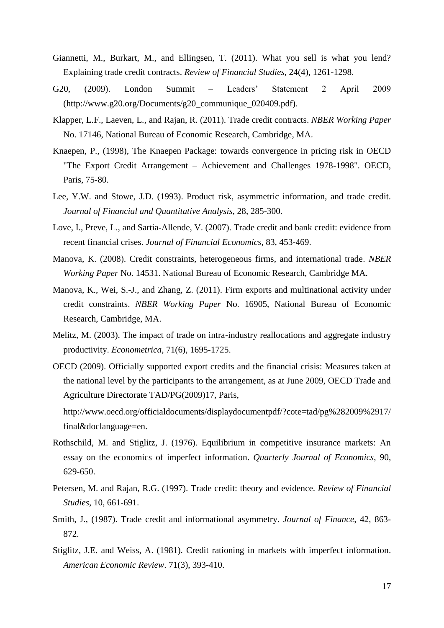- Giannetti, M., Burkart, M., and Ellingsen, T. (2011). What you sell is what you lend? Explaining trade credit contracts. *Review of Financial Studies*, 24(4), 1261-1298.
- G20, (2009). London Summit Leaders' Statement 2 April 2009 (http://www.g20.org/Documents/g20\_communique\_020409.pdf).
- Klapper, L.F., Laeven, L., and Rajan, R. (2011). Trade credit contracts. *NBER Working Paper* No. 17146, National Bureau of Economic Research, Cambridge, MA.
- Knaepen, P., (1998), The Knaepen Package: towards convergence in pricing risk in OECD "The Export Credit Arrangement – Achievement and Challenges 1978-1998". OECD, Paris, 75-80.
- Lee, Y.W. and Stowe, J.D. (1993). Product risk, asymmetric information, and trade credit. *Journal of Financial and Quantitative Analysis*, 28, 285-300.
- Love, I., Preve, L., and Sartia-Allende, V. (2007). Trade credit and bank credit: evidence from recent financial crises. *Journal of Financial Economics*, 83, 453-469.
- Manova, K. (2008). Credit constraints, heterogeneous firms, and international trade. *NBER Working Paper* No. 14531. National Bureau of Economic Research, Cambridge MA.
- Manova, K., Wei, S.-J., and Zhang, Z. (2011). Firm exports and multinational activity under credit constraints. *NBER Working Paper* No. 16905, National Bureau of Economic Research, Cambridge, MA.
- Melitz, M. (2003). The impact of trade on intra-industry reallocations and aggregate industry productivity. *Econometrica*, 71(6), 1695-1725.
- OECD (2009). Officially supported export credits and the financial crisis: Measures taken at the national level by the participants to the arrangement, as at June 2009, OECD Trade and Agriculture Directorate TAD/PG(2009)17, Paris,

[http://www.oecd.org/officialdocuments/displaydocumentpdf/?cote=tad/pg%282009%2917/](http://www.oecd.org/officialdocuments/displaydocumentpdf/?cote=tad/pg%282009%2917/final&doclanguage=en) [final&doclanguage=en.](http://www.oecd.org/officialdocuments/displaydocumentpdf/?cote=tad/pg%282009%2917/final&doclanguage=en)

- Rothschild, M. and Stiglitz, J. (1976). Equilibrium in competitive insurance markets: An essay on the economics of imperfect information. *Quarterly Journal of Economics*, 90, 629-650.
- Petersen, M. and Rajan, R.G. (1997). Trade credit: theory and evidence. *Review of Financial Studies*, 10, 661-691.
- Smith, J., (1987). Trade credit and informational asymmetry. *Journal of Finance*, 42, 863- 872.
- Stiglitz, J.E. and Weiss, A. (1981). Credit rationing in markets with imperfect information. *American Economic Review*. 71(3), 393-410.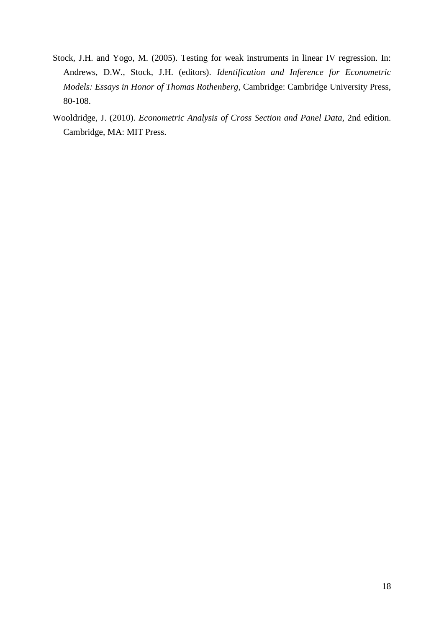- Stock, J.H. and Yogo, M. (2005). Testing for weak instruments in linear IV regression. In: Andrews, D.W., Stock, J.H. (editors). *Identification and Inference for Econometric Models: Essays in Honor of Thomas Rothenberg*, Cambridge: Cambridge University Press, 80-108.
- Wooldridge, J. (2010). *Econometric Analysis of Cross Section and Panel Data*, 2nd edition. Cambridge, MA: MIT Press.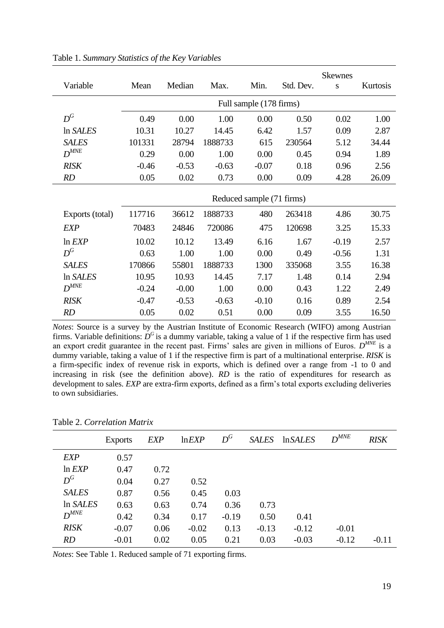| Variable        | Mean                      | Median  | Max.    | Min.    | Std. Dev. | <b>Skewnes</b><br>S | Kurtosis |
|-----------------|---------------------------|---------|---------|---------|-----------|---------------------|----------|
|                 |                           |         |         |         |           |                     |          |
|                 | Full sample (178 firms)   |         |         |         |           |                     |          |
| $D^G$           | 0.49                      | 0.00    | 1.00    | 0.00    | 0.50      | 0.02                | 1.00     |
| In SALES        | 10.31                     | 10.27   | 14.45   | 6.42    | 1.57      | 0.09                | 2.87     |
| <b>SALES</b>    | 101331                    | 28794   | 1888733 | 615     | 230564    | 5.12                | 34.44    |
| $D^{MNE}$       | 0.29                      | 0.00    | 1.00    | 0.00    | 0.45      | 0.94                | 1.89     |
| RISK            | $-0.46$                   | $-0.53$ | $-0.63$ | $-0.07$ | 0.18      | 0.96                | 2.56     |
| RD              | 0.05                      | 0.02    | 0.73    | 0.00    | 0.09      | 4.28                | 26.09    |
|                 | Reduced sample (71 firms) |         |         |         |           |                     |          |
|                 |                           |         |         |         |           |                     |          |
| Exports (total) | 117716                    | 36612   | 1888733 | 480     | 263418    | 4.86                | 30.75    |
| EXP             | 70483                     | 24846   | 720086  | 475     | 120698    | 3.25                | 15.33    |
| $ln$ $EXP$      | 10.02                     | 10.12   | 13.49   | 6.16    | 1.67      | $-0.19$             | 2.57     |
| $D^G$           | 0.63                      | 1.00    | 1.00    | 0.00    | 0.49      | $-0.56$             | 1.31     |
| <b>SALES</b>    | 170866                    | 55801   | 1888733 | 1300    | 335068    | 3.55                | 16.38    |
| In SALES        | 10.95                     | 10.93   | 14.45   | 7.17    | 1.48      | 0.14                | 2.94     |
| $D^{MNE}$       | $-0.24$                   | $-0.00$ | 1.00    | 0.00    | 0.43      | 1.22                | 2.49     |
| RISK            | $-0.47$                   | $-0.53$ | $-0.63$ | $-0.10$ | 0.16      | 0.89                | 2.54     |
| <b>RD</b>       | 0.05                      | 0.02    | 0.51    | 0.00    | 0.09      | 3.55                | 16.50    |

Table 1. *Summary Statistics of the Key Variables*

*Notes*: Source is a survey by the Austrian Institute of Economic Research (WIFO) among Austrian firms. Variable definitions:  $D^G$  is a dummy variable, taking a value of 1 if the respective firm has used an export credit guarantee in the recent past. Firms' sales are given in millions of Euros.  $D^{MNE}$  is a dummy variable, taking a value of 1 if the respective firm is part of a multinational enterprise. *RISK* is a firm-specific index of revenue risk in exports, which is defined over a range from -1 to 0 and increasing in risk (see the definition above). *RD* is the ratio of expenditures for research as development to sales. *EXP* are extra-firm exports, defined as a firm's total exports excluding deliveries to own subsidiaries.

|              | <b>Exports</b> | <b>EXP</b> | ln EXP  | $D^G$   | <b>SALES</b> | <i>InSALES</i> | $D^{MNE}$ | <b>RISK</b> |
|--------------|----------------|------------|---------|---------|--------------|----------------|-----------|-------------|
| <b>EXP</b>   | 0.57           |            |         |         |              |                |           |             |
| $ln$ $EXP$   | 0.47           | 0.72       |         |         |              |                |           |             |
| $D^G$        | 0.04           | 0.27       | 0.52    |         |              |                |           |             |
| <b>SALES</b> | 0.87           | 0.56       | 0.45    | 0.03    |              |                |           |             |
| In SALES     | 0.63           | 0.63       | 0.74    | 0.36    | 0.73         |                |           |             |
| $D^{MNE}$    | 0.42           | 0.34       | 0.17    | $-0.19$ | 0.50         | 0.41           |           |             |
| <b>RISK</b>  | $-0.07$        | 0.06       | $-0.02$ | 0.13    | $-0.13$      | $-0.12$        | $-0.01$   |             |
| RD           | $-0.01$        | 0.02       | 0.05    | 0.21    | 0.03         | $-0.03$        | $-0.12$   | $-0.11$     |

| Table 2. Correlation Matrix |  |  |  |
|-----------------------------|--|--|--|
|-----------------------------|--|--|--|

*Notes*: See Table 1. Reduced sample of 71 exporting firms.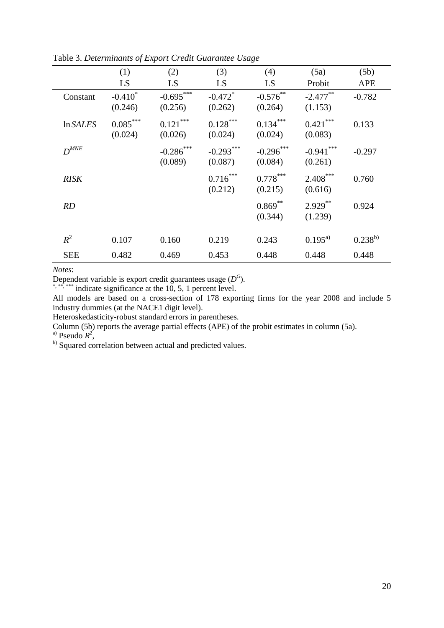|             | (1)                   | (2)                     | (3)                              | (4)                    | (5a)                    | (5b)         |
|-------------|-----------------------|-------------------------|----------------------------------|------------------------|-------------------------|--------------|
|             | LS                    | LS                      | LS                               | LS                     | Probit                  | <b>APE</b>   |
| Constant    | $-0.410*$<br>(0.246)  | $-0.695***$<br>(0.256)  | $-0.472$ <sup>*</sup><br>(0.262) | $-0.576$ **<br>(0.264) | $-2.477***$<br>(1.153)  | $-0.782$     |
| In SALES    | $0.085***$<br>(0.024) | $0.121***$<br>(0.026)   | $0.128***$<br>(0.024)            | $0.134***$<br>(0.024)  | $0.421***$<br>(0.083)   | 0.133        |
| $D^{MNE}$   |                       | $-0.286$ ***<br>(0.089) | $-0.293***$<br>(0.087)           | $-0.296***$<br>(0.084) | $-0.941$ ***<br>(0.261) | $-0.297$     |
| <b>RISK</b> |                       |                         | $0.716***$<br>(0.212)            | $0.778***$<br>(0.215)  | $2.408***$<br>(0.616)   | 0.760        |
| RD          |                       |                         |                                  | $0.869***$<br>(0.344)  | $2.929***$<br>(1.239)   | 0.924        |
| $R^2$       | 0.107                 | 0.160                   | 0.219                            | 0.243                  | $0.195^{a}$             | $0.238^{b)}$ |
| <b>SEE</b>  | 0.482                 | 0.469                   | 0.453                            | 0.448                  | 0.448                   | 0.448        |

Table 3. *Determinants of Export Credit Guarantee Usage*

*Notes*:

Dependent variable is export credit guarantees usage ( $D^G$ ).

 $*$ , \*\*, \*\*\* indicate significance at the 10, 5, 1 percent level.

All models are based on a cross-section of 178 exporting firms for the year 2008 and include 5 industry dummies (at the NACE1 digit level).

Heteroskedasticity-robust standard errors in parentheses.

Column (5b) reports the average partial effects (APE) of the probit estimates in column (5a).

<sup>a)</sup> Pseudo  $R^2$ ,

b) Squared correlation between actual and predicted values.